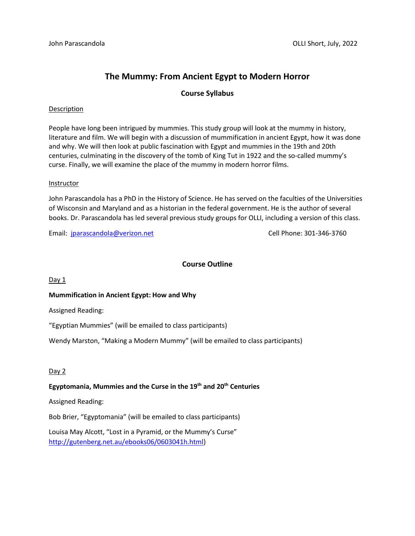# **The Mummy: From Ancient Egypt to Modern Horror**

# **Course Syllabus**

#### Description

People have long been intrigued by mummies. This study group will look at the mummy in history, literature and film. We will begin with a discussion of mummification in ancient Egypt, how it was done and why. We will then look at public fascination with Egypt and mummies in the 19th and 20th centuries, culminating in the discovery of the tomb of King Tut in 1922 and the so-called mummy's curse. Finally, we will examine the place of the mummy in modern horror films.

#### Instructor

John Parascandola has a PhD in the History of Science. He has served on the faculties of the Universities of Wisconsin and Maryland and as a historian in the federal government. He is the author of several books. Dr. Parascandola has led several previous study groups for OLLI, including a version of this class.

Email: [jparascandola@verizon.net](mailto:jparascandola@verizon.net) Cell Phone: 301-346-3760

# **Course Outline**

Day 1

## **Mummification in Ancient Egypt: How and Why**

Assigned Reading:

"Egyptian Mummies" (will be emailed to class participants)

Wendy Marston, "Making a Modern Mummy" (will be emailed to class participants)

## $Day 2$

## **Egyptomania, Mummies and the Curse in the 19th and 20th Centuries**

Assigned Reading:

Bob Brier, "Egyptomania" (will be emailed to class participants)

Louisa May Alcott, "Lost in a Pyramid, or the Mummy's Curse" [http://gutenberg.net.au/ebooks06/0603041h.html\)](http://gutenberg.net.au/ebooks06/0603041h.html)